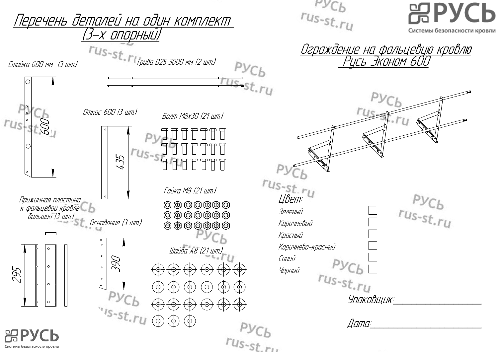